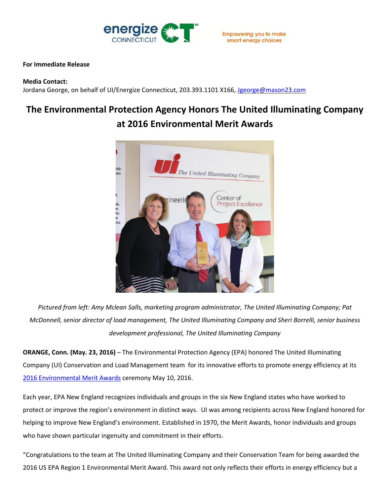

## **For Immediate Release**

### **Media Contact:**

Jordana George, on behalf of UI/Energize Connecticut, 203.393.1101 X166, [Jgeorge@mason23.com](mailto:Jgeorge@mason23.com)

# **The Environmental Protection Agency Honors The United Illuminating Company at 2016 Environmental Merit Awards**



*Pictured from left: Amy Mclean Salls, marketing program administrator, The United Illuminating Company; Pat McDonnell, senior director of load management, The United Illuminating Company and Sheri Borrelli, senior business development professional, The United Illuminating Company*

**ORANGE, Conn. (May. 23, 2016)** – The Environmental Protection Agency (EPA) honored The United Illuminating Company (UI) Conservation and Load Management team for its innovative efforts to promote energy efficiency at its [2016 Environmental Merit Awards](https://www.epa.gov/environmental-merit-awards-new-england) ceremony May 10, 2016.

Each year, EPA New England recognizes individuals and groups in the six New England states who have worked to protect or improve the region's environment in distinct ways. UI was among recipients across New England honored for helping to improve New England's environment. Established in 1970, the Merit Awards, honor individuals and groups who have shown particular ingenuity and commitment in their efforts.

"Congratulations to the team at The United Illuminating Company and their Conservation Team for being awarded the 2016 US EPA Region 1 Environmental Merit Award. This award not only reflects their efforts in energy efficiency but a